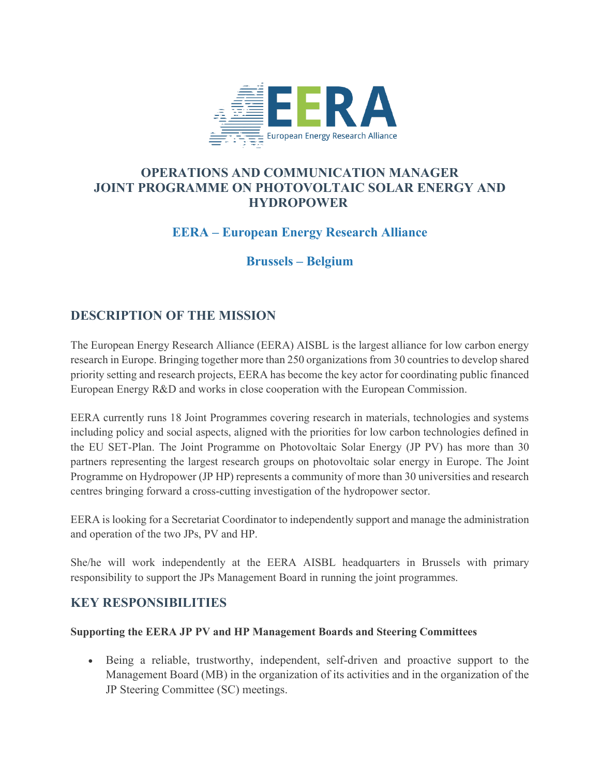

## **OPERATIONS AND COMMUNICATION MANAGER JOINT PROGRAMME ON PHOTOVOLTAIC SOLAR ENERGY AND HYDROPOWER**

# **EERA – European Energy Research Alliance**

## **Brussels – Belgium**

## **DESCRIPTION OF THE MISSION**

The European Energy Research Alliance (EERA) AISBL is the largest alliance for low carbon energy research in Europe. Bringing together more than 250 organizations from 30 countries to develop shared priority setting and research projects, EERA has become the key actor for coordinating public financed European Energy R&D and works in close cooperation with the European Commission.

EERA currently runs 18 Joint Programmes covering research in materials, technologies and systems including policy and social aspects, aligned with the priorities for low carbon technologies defined in the EU SET-Plan. The Joint Programme on Photovoltaic Solar Energy (JP PV) has more than 30 partners representing the largest research groups on photovoltaic solar energy in Europe. The Joint Programme on Hydropower (JP HP) represents a community of more than 30 universities and research centres bringing forward a cross-cutting investigation of the hydropower sector.

EERA is looking for a Secretariat Coordinator to independently support and manage the administration and operation of the two JPs, PV and HP.

She/he will work independently at the EERA AISBL headquarters in Brussels with primary responsibility to support the JPs Management Board in running the joint programmes.

## **KEY RESPONSIBILITIES**

#### **Supporting the EERA JP PV and HP Management Boards and Steering Committees**

• Being a reliable, trustworthy, independent, self-driven and proactive support to the Management Board (MB) in the organization of its activities and in the organization of the JP Steering Committee (SC) meetings.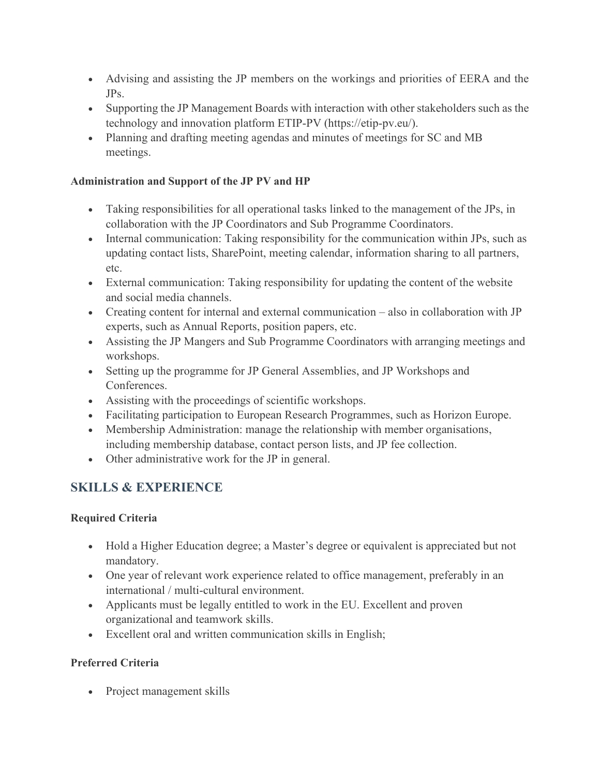- Advising and assisting the JP members on the workings and priorities of EERA and the JPs.
- Supporting the JP Management Boards with interaction with other stakeholders such as the technology and innovation platform ETIP-PV (https://etip-pv.eu/).
- Planning and drafting meeting agendas and minutes of meetings for SC and MB meetings.

#### **Administration and Support of the JP PV and HP**

- Taking responsibilities for all operational tasks linked to the management of the JPs, in collaboration with the JP Coordinators and Sub Programme Coordinators.
- Internal communication: Taking responsibility for the communication within JPs, such as updating contact lists, SharePoint, meeting calendar, information sharing to all partners, etc.
- External communication: Taking responsibility for updating the content of the website and social media channels.
- Creating content for internal and external communication also in collaboration with JP experts, such as Annual Reports, position papers, etc.
- Assisting the JP Mangers and Sub Programme Coordinators with arranging meetings and workshops.
- Setting up the programme for JP General Assemblies, and JP Workshops and Conferences.
- Assisting with the proceedings of scientific workshops.
- Facilitating participation to European Research Programmes, such as Horizon Europe.
- Membership Administration: manage the relationship with member organisations, including membership database, contact person lists, and JP fee collection.
- Other administrative work for the JP in general.

# **SKILLS & EXPERIENCE**

#### **Required Criteria**

- Hold a Higher Education degree; a Master's degree or equivalent is appreciated but not mandatory.
- One year of relevant work experience related to office management, preferably in an international / multi-cultural environment.
- Applicants must be legally entitled to work in the EU. Excellent and proven organizational and teamwork skills.
- Excellent oral and written communication skills in English;

### **Preferred Criteria**

• Project management skills